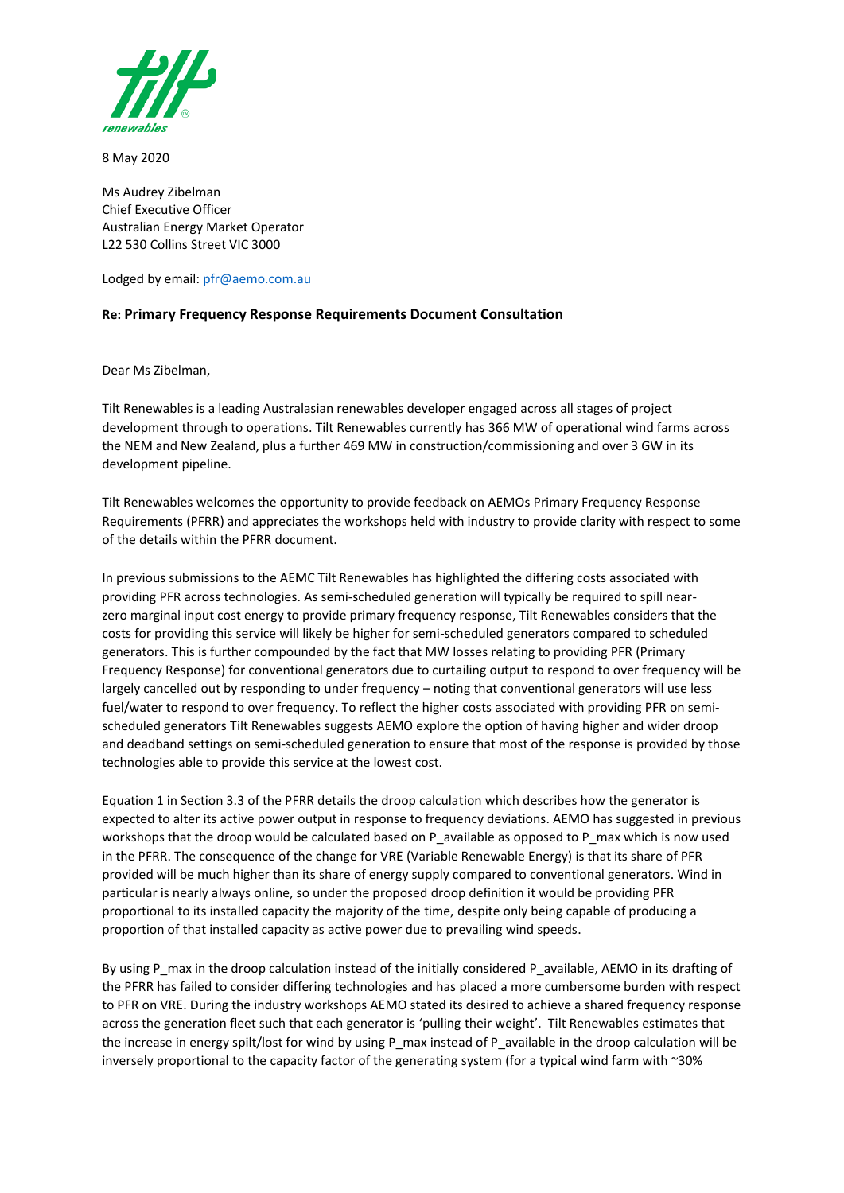

8 May 2020

Ms Audrey Zibelman Chief Executive Officer Australian Energy Market Operator L22 530 Collins Street VIC 3000

Lodged by email: [pfr@aemo.com.au](mailto:pfr@aemo.com.au)

## **Re: Primary Frequency Response Requirements Document Consultation**

Dear Ms Zibelman,

Tilt Renewables is a leading Australasian renewables developer engaged across all stages of project development through to operations. Tilt Renewables currently has 366 MW of operational wind farms across the NEM and New Zealand, plus a further 469 MW in construction/commissioning and over 3 GW in its development pipeline.

Tilt Renewables welcomes the opportunity to provide feedback on AEMOs Primary Frequency Response Requirements (PFRR) and appreciates the workshops held with industry to provide clarity with respect to some of the details within the PFRR document.

In previous submissions to the AEMC Tilt Renewables has highlighted the differing costs associated with providing PFR across technologies. As semi-scheduled generation will typically be required to spill nearzero marginal input cost energy to provide primary frequency response, Tilt Renewables considers that the costs for providing this service will likely be higher for semi-scheduled generators compared to scheduled generators. This is further compounded by the fact that MW losses relating to providing PFR (Primary Frequency Response) for conventional generators due to curtailing output to respond to over frequency will be largely cancelled out by responding to under frequency – noting that conventional generators will use less fuel/water to respond to over frequency. To reflect the higher costs associated with providing PFR on semischeduled generators Tilt Renewables suggests AEMO explore the option of having higher and wider droop and deadband settings on semi-scheduled generation to ensure that most of the response is provided by those technologies able to provide this service at the lowest cost.

Equation 1 in Section 3.3 of the PFRR details the droop calculation which describes how the generator is expected to alter its active power output in response to frequency deviations. AEMO has suggested in previous workshops that the droop would be calculated based on P\_available as opposed to P\_max which is now used in the PFRR. The consequence of the change for VRE (Variable Renewable Energy) is that its share of PFR provided will be much higher than its share of energy supply compared to conventional generators. Wind in particular is nearly always online, so under the proposed droop definition it would be providing PFR proportional to its installed capacity the majority of the time, despite only being capable of producing a proportion of that installed capacity as active power due to prevailing wind speeds.

By using P\_max in the droop calculation instead of the initially considered P\_available, AEMO in its drafting of the PFRR has failed to consider differing technologies and has placed a more cumbersome burden with respect to PFR on VRE. During the industry workshops AEMO stated its desired to achieve a shared frequency response across the generation fleet such that each generator is 'pulling their weight'. Tilt Renewables estimates that the increase in energy spilt/lost for wind by using P\_max instead of P\_available in the droop calculation will be inversely proportional to the capacity factor of the generating system (for a typical wind farm with ~30%